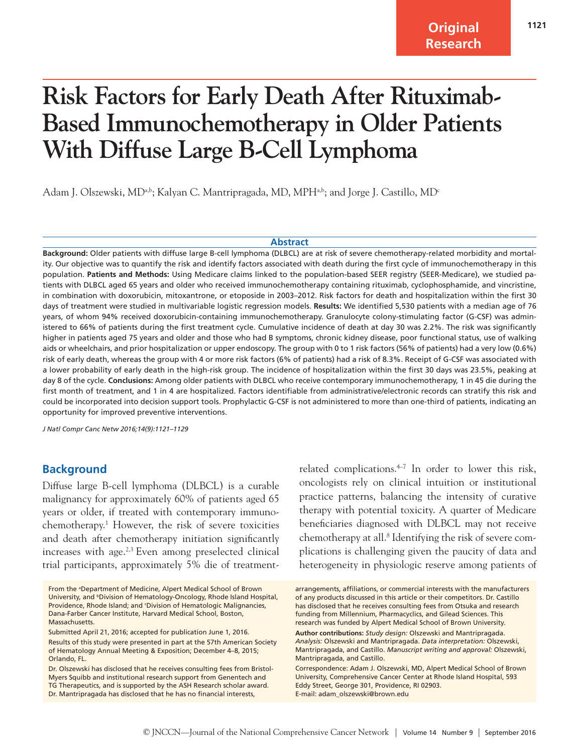# **Original Research**

# **Risk Factors for Early Death After Rituximab-Based Immunochemotherapy in Older Patients With Diffuse Large B-Cell Lymphoma**

Adam J. Olszewski, MD<sup>a,b</sup>; Kalyan C. Mantripragada, MD, MPH<sup>a,b</sup>; and Jorge J. Castillo, MD<sup>c</sup>

## **Abstract**

**Background:** Older patients with diffuse large B-cell lymphoma (DLBCL) are at risk of severe chemotherapy-related morbidity and mortality. Our objective was to quantify the risk and identify factors associated with death during the first cycle of immunochemotherapy in this population. **Patients and Methods:** Using Medicare claims linked to the population-based SEER registry (SEER-Medicare), we studied patients with DLBCL aged 65 years and older who received immunochemotherapy containing rituximab, cyclophosphamide, and vincristine, in combination with doxorubicin, mitoxantrone, or etoposide in 2003–2012. Risk factors for death and hospitalization within the first 30 days of treatment were studied in multivariable logistic regression models. **Results:** We identified 5,530 patients with a median age of 76 years, of whom 94% received doxorubicin-containing immunochemotherapy. Granulocyte colony-stimulating factor (G-CSF) was administered to 66% of patients during the first treatment cycle. Cumulative incidence of death at day 30 was 2.2%. The risk was significantly higher in patients aged 75 years and older and those who had B symptoms, chronic kidney disease, poor functional status, use of walking aids or wheelchairs, and prior hospitalization or upper endoscopy. The group with 0 to 1 risk factors (56% of patients) had a very low (0.6%) risk of early death, whereas the group with 4 or more risk factors (6% of patients) had a risk of 8.3%. Receipt of G-CSF was associated with a lower probability of early death in the high-risk group. The incidence of hospitalization within the first 30 days was 23.5%, peaking at day 8 of the cycle. **Conclusions:** Among older patients with DLBCL who receive contemporary immunochemotherapy, 1 in 45 die during the first month of treatment, and 1 in 4 are hospitalized. Factors identifiable from administrative/electronic records can stratify this risk and could be incorporated into decision support tools. Prophylactic G-CSF is not administered to more than one-third of patients, indicating an opportunity for improved preventive interventions.

*J Natl Compr Canc Netw 2016;14(9):1121–1129*

# **Background**

Diffuse large B-cell lymphoma (DLBCL) is a curable malignancy for approximately 60% of patients aged 65 years or older, if treated with contemporary immunochemotherapy.1 However, the risk of severe toxicities and death after chemotherapy initiation significantly increases with age.2,3 Even among preselected clinical trial participants, approximately 5% die of treatmentrelated complications.4–7 In order to lower this risk, oncologists rely on clinical intuition or institutional practice patterns, balancing the intensity of curative therapy with potential toxicity. A quarter of Medicare beneficiaries diagnosed with DLBCL may not receive chemotherapy at all.<sup>8</sup> Identifying the risk of severe complications is challenging given the paucity of data and heterogeneity in physiologic reserve among patients of

arrangements, affiliations, or commercial interests with the manufacturers of any products discussed in this article or their competitors. Dr. Castillo has disclosed that he receives consulting fees from Otsuka and research funding from Millennium, Pharmacyclics, and Gilead Sciences. This research was funded by Alpert Medical School of Brown University.

Correspondence: Adam J. Olszewski, MD, Alpert Medical School of Brown University, Comprehensive Cancer Center at Rhode Island Hospital, 593 Eddy Street, George 301, Providence, RI 02903. E-mail: adam\_olszewski@brown.edu

From the <sup>a</sup>Department of Medicine, Alpert Medical School of Brown University, and <sup>b</sup>Division of Hematology-Oncology, Rhode Island Hospital, Providence, Rhode Island; and *'*Division of Hematologic Malignancies, Dana-Farber Cancer Institute, Harvard Medical School, Boston, Massachusetts.

Submitted April 21, 2016; accepted for publication June 1, 2016. Results of this study were presented in part at the 57th American Society of Hematology Annual Meeting & Exposition; December 4–8, 2015; Orlando, FL.

Dr. Olszewski has disclosed that he receives consulting fees from Bristol-Myers Squibb and institutional research support from Genentech and TG Therapeutics, and is supported by the ASH Research scholar award. Dr. Mantripragada has disclosed that he has no financial interests,

**Author contributions:** *Study design:* Olszewski and Mantripragada. *Analysis:* Olszewski and Mantripragada. *Data interpretation:* Olszewski, Mantripragada, and Castillo. *Manuscript writing and approval:* Olszewski, Mantripragada, and Castillo.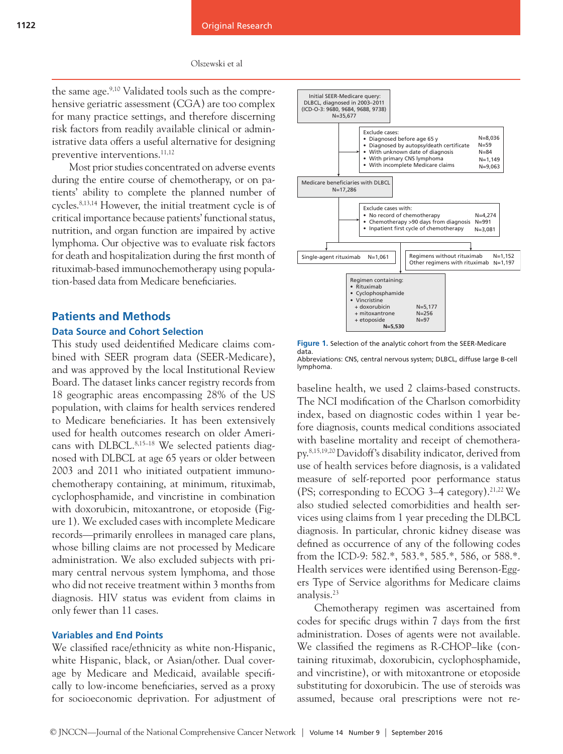the same age.<sup>9,10</sup> Validated tools such as the comprehensive geriatric assessment (CGA) are too complex for many practice settings, and therefore discerning risk factors from readily available clinical or administrative data offers a useful alternative for designing preventive interventions.<sup>11,12</sup>

Most prior studies concentrated on adverse events during the entire course of chemotherapy, or on patients' ability to complete the planned number of cycles.8,13,14 However, the initial treatment cycle is of critical importance because patients' functional status, nutrition, and organ function are impaired by active lymphoma. Our objective was to evaluate risk factors for death and hospitalization during the first month of rituximab-based immunochemotherapy using population-based data from Medicare beneficiaries.

## **Patients and Methods**

## **Data Source and Cohort Selection**

This study used deidentified Medicare claims combined with SEER program data (SEER-Medicare), and was approved by the local Institutional Review Board. The dataset links cancer registry records from 18 geographic areas encompassing 28% of the US population, with claims for health services rendered to Medicare beneficiaries. It has been extensively used for health outcomes research on older Americans with DLBCL.<sup>8,15-18</sup> We selected patients diagnosed with DLBCL at age 65 years or older between 2003 and 2011 who initiated outpatient immunochemotherapy containing, at minimum, rituximab, cyclophosphamide, and vincristine in combination with doxorubicin, mitoxantrone, or etoposide (Figure 1). We excluded cases with incomplete Medicare records—primarily enrollees in managed care plans, whose billing claims are not processed by Medicare administration. We also excluded subjects with primary central nervous system lymphoma, and those who did not receive treatment within 3 months from diagnosis. HIV status was evident from claims in only fewer than 11 cases.

### **Variables and End Points**

We classified race/ethnicity as white non-Hispanic, white Hispanic, black, or Asian/other. Dual coverage by Medicare and Medicaid, available specifically to low-income beneficiaries, served as a proxy for socioeconomic deprivation. For adjustment of



**Figure 1.** Selection of the analytic cohort from the SEER-Medicare data. Abbreviations: CNS, central nervous system; DLBCL, diffuse large B-cell lymphoma.

baseline health, we used 2 claims-based constructs. The NCI modification of the Charlson comorbidity index, based on diagnostic codes within 1 year before diagnosis, counts medical conditions associated with baseline mortality and receipt of chemotherapy.8,15,19,20 Davidoff's disability indicator, derived from use of health services before diagnosis, is a validated measure of self-reported poor performance status (PS; corresponding to ECOG  $3-4$  category).<sup>21,22</sup> We also studied selected comorbidities and health services using claims from 1 year preceding the DLBCL diagnosis. In particular, chronic kidney disease was defined as occurrence of any of the following codes from the ICD-9: 582.\*, 583.\*, 585.\*, 586, or 588.\*. Health services were identified using Berenson-Eggers Type of Service algorithms for Medicare claims analysis.23

Chemotherapy regimen was ascertained from codes for specific drugs within 7 days from the first administration. Doses of agents were not available. We classified the regimens as R-CHOP–like (containing rituximab, doxorubicin, cyclophosphamide, and vincristine), or with mitoxantrone or etoposide substituting for doxorubicin. The use of steroids was assumed, because oral prescriptions were not re-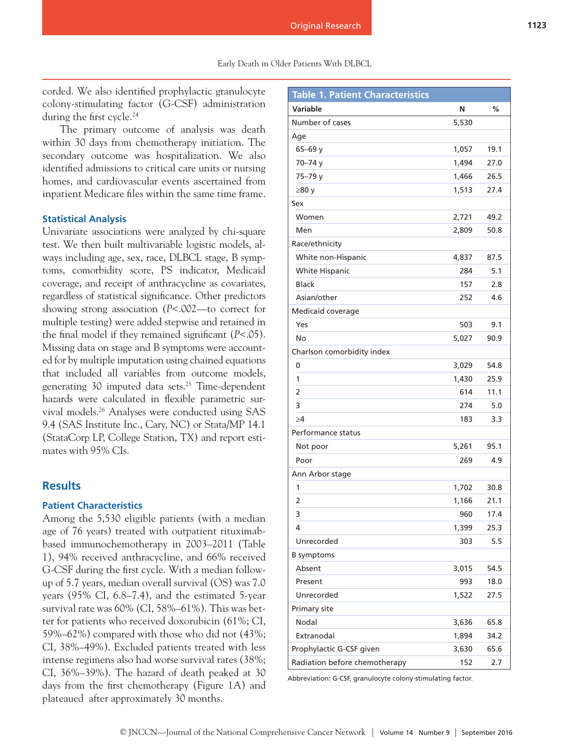corded. We also identified prophylactic granulocyte colony-stimulating factor (G-CSF) administration during the first cycle.<sup>24</sup>

The primary outcome of analysis was death within 30 days from chemotherapy initiation. The secondary outcome was hospitalization. We also identified admissions to critical care units or nursing homes, and cardiovascular events ascertained from inpatient Medicare files within the same time frame.

### **Statistical Analysis**

Univariate associations were analyzed by chi-square test. We then built multivariable logistic models, always including age, sex, race, DLBCL stage, B symptoms, comorbidity score, PS indicator, Medicaid coverage, and receipt of anthracycline as covariates, regardless of statistical significance. Other predictors showing strong association (*P*<.002—to correct for multiple testing) were added stepwise and retained in the final model if they remained significant (*P*<.05). Missing data on stage and B symptoms were accounted for by multiple imputation using chained equations that included all variables from outcome models, generating 30 imputed data sets.<sup>25</sup> Time-dependent hazards were calculated in flexible parametric survival models.26 Analyses were conducted using SAS 9.4 (SAS Institute Inc., Cary, NC) or Stata/MP 14.1 (StataCorp LP, College Station, TX) and report estimates with 95% CIs.

## **Results**

## **Patient Characteristics**

Among the 5,530 eligible patients (with a median age of 76 years) treated with outpatient rituximabbased immunochemotherapy in 2003–2011 (Table 1), 94% received anthracycline, and 66% received G-CSF during the first cycle. With a median followup of 5.7 years, median overall survival (OS) was 7.0 years (95% CI, 6.8–7.4), and the estimated 5-year survival rate was 60% (CI, 58%–61%). This was better for patients who received doxorubicin (61%; CI, 59%–62%) compared with those who did not (43%; CI, 38%–49%). Excluded patients treated with less intense regimens also had worse survival rates (38%; CI, 36%–39%). The hazard of death peaked at 30 days from the first chemotherapy (Figure 1A) and plateaued after approximately 30 months.

| <b>Table 1. Patient Characteristics</b> |       |      |
|-----------------------------------------|-------|------|
| <b>Variable</b>                         | Ν     | $\%$ |
| Number of cases                         | 5,530 |      |
| Age                                     |       |      |
| 65–69 y                                 | 1,057 | 19.1 |
| 70-74 y                                 | 1,494 | 27.0 |
| 75-79 y                                 | 1,466 | 26.5 |
| ≥80 y                                   | 1,513 | 27.4 |
| Sex                                     |       |      |
| Women                                   | 2,721 | 49.2 |
| Men                                     | 2,809 | 50.8 |
| Race/ethnicity                          |       |      |
| White non-Hispanic                      | 4,837 | 87.5 |
| White Hispanic                          | 284   | 5.1  |
| <b>Black</b>                            | 157   | 2.8  |
| Asian/other                             | 252   | 4.6  |
| Medicaid coverage                       |       |      |
| Yes                                     | 503   | 9.1  |
| No                                      | 5,027 | 90.9 |
| Charlson comorbidity index              |       |      |
| 0                                       | 3,029 | 54.8 |
| 1                                       | 1,430 | 25.9 |
| 2                                       | 614   | 11.1 |
| 3                                       | 274   | 5.0  |
| $\geq 4$                                | 183   | 3.3  |
| Performance status                      |       |      |
| Not poor                                | 5,261 | 95.1 |
| Poor                                    | 269   | 4.9  |
| Ann Arbor stage                         |       |      |
| 1                                       | 1,702 | 30.8 |
| 2                                       | 1,166 | 21.1 |
| 3                                       | 960   | 17.4 |
| 4                                       | 1,399 | 25.3 |
| Unrecorded                              | 303   | 5.5  |
| <b>B</b> symptoms                       |       |      |
| Absent                                  | 3,015 | 54.5 |
| Present                                 | 993   | 18.0 |
| Unrecorded                              | 1,522 | 27.5 |
| Primary site                            |       |      |
| Nodal                                   | 3,636 | 65.8 |
| Extranodal                              | 1,894 | 34.2 |
| Prophylactic G-CSF given                | 3,630 | 65.6 |
| Radiation before chemotherapy           | 152   | 2.7  |

Abbreviation: G-CSF, granulocyte colony-stimulating factor.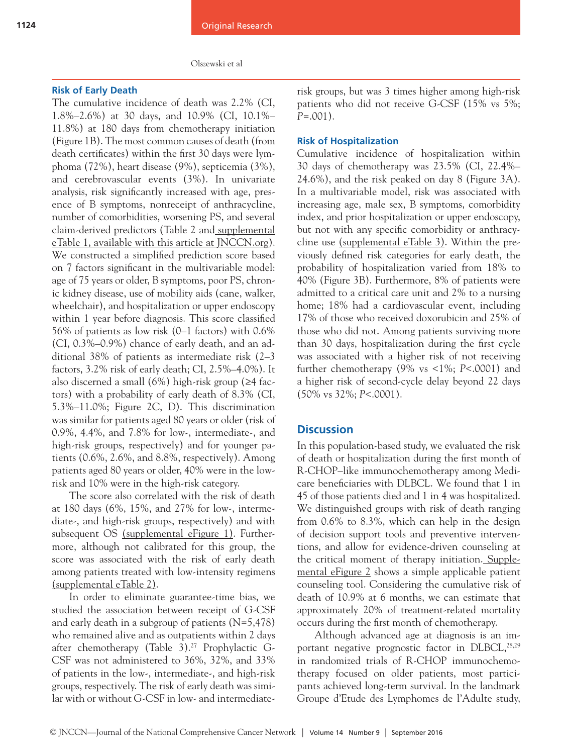Olszewski et al

## **Risk of Early Death**

The cumulative incidence of death was 2.2% (CI, 1.8%–2.6%) at 30 days, and 10.9% (CI, 10.1%– 11.8%) at 180 days from chemotherapy initiation (Figure 1B). The most common causes of death (from death certificates) within the first 30 days were lymphoma (72%), heart disease (9%), septicemia (3%), and cerebrovascular events (3%). In univariate analysis, risk significantly increased with age, presence of B symptoms, nonreceipt of anthracycline, number of comorbidities, worsening PS, and several claim-derived predictors (Table 2 and supplemental eTable 1, available with this article at JNCCN.org). We constructed a simplified prediction score based on 7 factors significant in the multivariable model: age of 75 years or older, B symptoms, poor PS, chronic kidney disease, use of mobility aids (cane, walker, wheelchair), and hospitalization or upper endoscopy within 1 year before diagnosis. This score classified 56% of patients as low risk (0–1 factors) with 0.6% (CI, 0.3%–0.9%) chance of early death, and an additional 38% of patients as intermediate risk (2–3 factors, 3.2% risk of early death; CI, 2.5%–4.0%). It also discerned a small (6%) high-risk group (≥4 factors) with a probability of early death of 8.3% (CI, 5.3%–11.0%; Figure 2C, D). This discrimination was similar for patients aged 80 years or older (risk of 0.9%, 4.4%, and 7.8% for low-, intermediate-, and high-risk groups, respectively) and for younger patients (0.6%, 2.6%, and 8.8%, respectively). Among patients aged 80 years or older, 40% were in the lowrisk and 10% were in the high-risk category.

The score also correlated with the risk of death at 180 days (6%, 15%, and 27% for low-, intermediate-, and high-risk groups, respectively) and with subsequent OS (supplemental eFigure 1). Furthermore, although not calibrated for this group, the score was associated with the risk of early death among patients treated with low-intensity regimens (supplemental eTable 2).

In order to eliminate guarantee-time bias, we studied the association between receipt of G-CSF and early death in a subgroup of patients (N=5,478) who remained alive and as outpatients within 2 days after chemotherapy (Table 3).27 Prophylactic G-CSF was not administered to 36%, 32%, and 33% of patients in the low-, intermediate-, and high-risk groups, respectively. The risk of early death was similar with or without G-CSF in low- and intermediaterisk groups, but was 3 times higher among high-risk patients who did not receive G-CSF (15% vs 5%; *P*=.001).

## **Risk of Hospitalization**

Cumulative incidence of hospitalization within 30 days of chemotherapy was 23.5% (CI, 22.4%– 24.6%), and the risk peaked on day 8 (Figure 3A). In a multivariable model, risk was associated with increasing age, male sex, B symptoms, comorbidity index, and prior hospitalization or upper endoscopy, but not with any specific comorbidity or anthracycline use (supplemental eTable 3). Within the previously defined risk categories for early death, the probability of hospitalization varied from 18% to 40% (Figure 3B). Furthermore, 8% of patients were admitted to a critical care unit and 2% to a nursing home; 18% had a cardiovascular event, including 17% of those who received doxorubicin and 25% of those who did not. Among patients surviving more than 30 days, hospitalization during the first cycle was associated with a higher risk of not receiving further chemotherapy (9% vs <1%; *P*<.0001) and a higher risk of second-cycle delay beyond 22 days (50% vs 32%; *P*<.0001).

# **Discussion**

In this population-based study, we evaluated the risk of death or hospitalization during the first month of R-CHOP–like immunochemotherapy among Medicare beneficiaries with DLBCL. We found that 1 in 45 of those patients died and 1 in 4 was hospitalized. We distinguished groups with risk of death ranging from 0.6% to 8.3%, which can help in the design of decision support tools and preventive interventions, and allow for evidence-driven counseling at the critical moment of therapy initiation. Supplemental eFigure 2 shows a simple applicable patient counseling tool. Considering the cumulative risk of death of 10.9% at 6 months, we can estimate that approximately 20% of treatment-related mortality occurs during the first month of chemotherapy.

Although advanced age at diagnosis is an important negative prognostic factor in  $DLBCL$ ,  $^{28,29}$ in randomized trials of R-CHOP immunochemotherapy focused on older patients, most participants achieved long-term survival. In the landmark Groupe d'Etude des Lymphomes de l'Adulte study,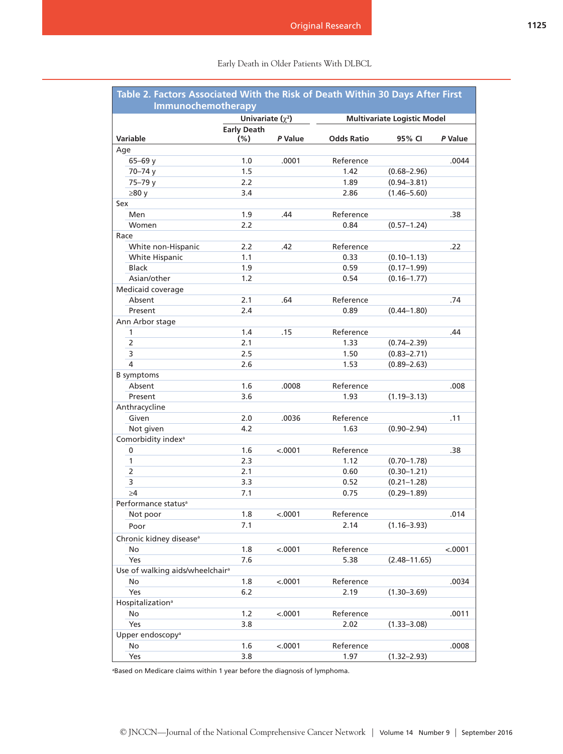| Table 2. Factors Associated With the Risk of Death Within 30 Days After First |                       |         |                                    |                  |         |  |  |  |  |
|-------------------------------------------------------------------------------|-----------------------|---------|------------------------------------|------------------|---------|--|--|--|--|
| Immunochemotherapy                                                            |                       |         |                                    |                  |         |  |  |  |  |
|                                                                               | Univariate $(\chi^2)$ |         | <b>Multivariate Logistic Model</b> |                  |         |  |  |  |  |
|                                                                               | <b>Early Death</b>    |         |                                    |                  |         |  |  |  |  |
| Variable                                                                      | (%)                   | P Value | <b>Odds Ratio</b>                  | 95% CI           | P Value |  |  |  |  |
| Age                                                                           |                       |         |                                    |                  |         |  |  |  |  |
| $65 - 69$ y                                                                   | 1.0                   | .0001   | Reference                          |                  | .0044   |  |  |  |  |
| $70 - 74y$                                                                    | 1.5                   |         | 1.42                               | $(0.68 - 2.96)$  |         |  |  |  |  |
| 75-79 y                                                                       | 2.2                   |         | 1.89                               | $(0.94 - 3.81)$  |         |  |  |  |  |
| ≥80 y                                                                         | 3.4                   |         | 2.86                               | $(1.46 - 5.60)$  |         |  |  |  |  |
| Sex                                                                           |                       |         |                                    |                  |         |  |  |  |  |
| Men                                                                           | 1.9                   | .44     | Reference                          |                  | .38     |  |  |  |  |
| Women                                                                         | 2.2                   |         | 0.84                               | $(0.57 - 1.24)$  |         |  |  |  |  |
| Race                                                                          |                       |         |                                    |                  |         |  |  |  |  |
| White non-Hispanic                                                            | 2.2                   | .42     | Reference                          |                  | .22     |  |  |  |  |
| White Hispanic                                                                | 1.1                   |         | 0.33                               | $(0.10 - 1.13)$  |         |  |  |  |  |
| <b>Black</b>                                                                  | 1.9                   |         | 0.59                               | $(0.17 - 1.99)$  |         |  |  |  |  |
| Asian/other                                                                   | 1.2                   |         | $(0.16 - 1.77)$<br>0.54            |                  |         |  |  |  |  |
| Medicaid coverage                                                             |                       |         |                                    |                  |         |  |  |  |  |
| Absent                                                                        | 2.1                   | .64     | Reference                          |                  | .74     |  |  |  |  |
| Present                                                                       | 2.4                   |         | 0.89                               | $(0.44 - 1.80)$  |         |  |  |  |  |
| Ann Arbor stage                                                               |                       |         |                                    |                  |         |  |  |  |  |
| 1                                                                             | 1.4                   | .15     | Reference                          |                  | .44     |  |  |  |  |
| $\overline{2}$                                                                | 2.1                   |         | 1.33                               | $(0.74 - 2.39)$  |         |  |  |  |  |
| 3                                                                             | 2.5                   |         | 1.50                               | $(0.83 - 2.71)$  |         |  |  |  |  |
| 4                                                                             | 2.6                   |         | 1.53                               | $(0.89 - 2.63)$  |         |  |  |  |  |
| <b>B</b> symptoms                                                             |                       |         |                                    |                  |         |  |  |  |  |
| Absent                                                                        | 1.6                   | .0008   | Reference                          |                  | .008    |  |  |  |  |
| Present                                                                       | 3.6                   |         | 1.93                               | $(1.19 - 3.13)$  |         |  |  |  |  |
| Anthracycline                                                                 |                       |         |                                    |                  |         |  |  |  |  |
| Given                                                                         | 2.0                   | .0036   | Reference                          |                  | .11     |  |  |  |  |
| Not given                                                                     | 4.2                   |         | 1.63<br>$(0.90 - 2.94)$            |                  |         |  |  |  |  |
| Comorbidity index <sup>a</sup>                                                |                       |         |                                    |                  |         |  |  |  |  |
| 0                                                                             | 1.6                   | < .0001 | Reference                          |                  | .38     |  |  |  |  |
| 1                                                                             | 2.3                   |         | 1.12                               | $(0.70 - 1.78)$  |         |  |  |  |  |
| $\overline{2}$                                                                | 2.1                   |         | 0.60                               | $(0.30 - 1.21)$  |         |  |  |  |  |
| 3                                                                             | 3.3                   |         | 0.52                               | $(0.21 - 1.28)$  |         |  |  |  |  |
| $\geq 4$                                                                      | 7.1                   |         | 0.75                               | $(0.29 - 1.89)$  |         |  |  |  |  |
| Performance status <sup>a</sup>                                               |                       |         |                                    |                  |         |  |  |  |  |
| Not poor                                                                      | 1.8                   | < .0001 | Reference                          |                  | .014    |  |  |  |  |
| Poor                                                                          | 7.1                   |         | 2.14                               | $(1.16 - 3.93)$  |         |  |  |  |  |
| Chronic kidney disease <sup>a</sup>                                           |                       |         |                                    |                  |         |  |  |  |  |
| No                                                                            | 1.8                   | < .0001 | Reference                          |                  | < .0001 |  |  |  |  |
| Yes                                                                           | 7.6                   |         | 5.38                               | $(2.48 - 11.65)$ |         |  |  |  |  |
| Use of walking aids/wheelchair <sup>a</sup>                                   |                       |         |                                    |                  |         |  |  |  |  |
| No                                                                            | 1.8                   | < .0001 | Reference                          |                  | .0034   |  |  |  |  |
| Yes                                                                           | 6.2                   |         | 2.19                               | $(1.30 - 3.69)$  |         |  |  |  |  |
| Hospitalization <sup>a</sup>                                                  |                       |         |                                    |                  |         |  |  |  |  |
| No                                                                            | 1.2                   | < .0001 | Reference                          |                  | .0011   |  |  |  |  |
| Yes                                                                           | 3.8                   |         | 2.02                               | $(1.33 - 3.08)$  |         |  |  |  |  |
| Upper endoscopy <sup>a</sup>                                                  |                       |         |                                    |                  |         |  |  |  |  |
| No                                                                            | 1.6                   | < .0001 | Reference                          |                  | .0008   |  |  |  |  |
| Yes                                                                           | 3.8                   |         | 1.97                               |                  |         |  |  |  |  |
|                                                                               |                       |         |                                    | $(1.32 - 2.93)$  |         |  |  |  |  |

a Based on Medicare claims within 1 year before the diagnosis of lymphoma.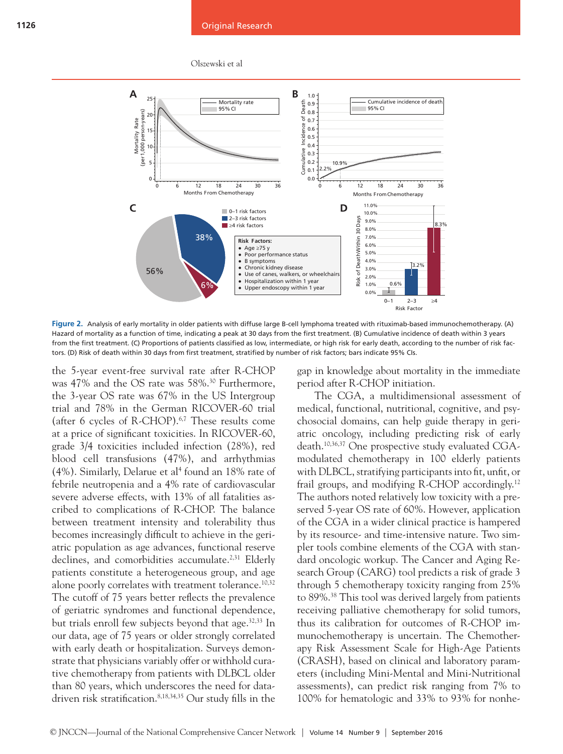



**Figure 2.** Analysis of early mortality in older patients with diffuse large B-cell lymphoma treated with rituximab-based immunochemotherapy. (A) Hazard of mortality as a function of time, indicating a peak at 30 days from the first treatment. (B) Cumulative incidence of death within 3 years from the first treatment. (C) Proportions of patients classified as low, intermediate, or high risk for early death, according to the number of risk factors. (D) Risk of death within 30 days from first treatment, stratified by number of risk factors; bars indicate 95% CIs.

the 5-year event-free survival rate after R-CHOP was 47% and the OS rate was 58%.<sup>30</sup> Furthermore, the 3-year OS rate was 67% in the US Intergroup trial and 78% in the German RICOVER-60 trial (after 6 cycles of R-CHOP).6,7 These results come at a price of significant toxicities. In RICOVER-60, grade 3/4 toxicities included infection (28%), red blood cell transfusions (47%), and arrhythmias (4%). Similarly, Delarue et al4 found an 18% rate of febrile neutropenia and a 4% rate of cardiovascular severe adverse effects, with 13% of all fatalities ascribed to complications of R-CHOP. The balance between treatment intensity and tolerability thus becomes increasingly difficult to achieve in the geriatric population as age advances, functional reserve declines, and comorbidities accumulate.<sup>2,31</sup> Elderly patients constitute a heterogeneous group, and age alone poorly correlates with treatment tolerance.<sup>10,32</sup> The cutoff of 75 years better reflects the prevalence of geriatric syndromes and functional dependence, but trials enroll few subjects beyond that age.32,33 In our data, age of 75 years or older strongly correlated with early death or hospitalization. Surveys demonstrate that physicians variably offer or withhold curative chemotherapy from patients with DLBCL older than 80 years, which underscores the need for datadriven risk stratification.8,18,34,35 Our study fills in the

gap in knowledge about mortality in the immediate period after R-CHOP initiation.

The CGA, a multidimensional assessment of medical, functional, nutritional, cognitive, and psychosocial domains, can help guide therapy in geriatric oncology, including predicting risk of early death.10,36,37 One prospective study evaluated CGAmodulated chemotherapy in 100 elderly patients with DLBCL, stratifying participants into fit, unfit, or frail groups, and modifying R-CHOP accordingly.12 The authors noted relatively low toxicity with a preserved 5-year OS rate of 60%. However, application of the CGA in a wider clinical practice is hampered by its resource- and time-intensive nature. Two simpler tools combine elements of the CGA with standard oncologic workup. The Cancer and Aging Research Group (CARG) tool predicts a risk of grade 3 through 5 chemotherapy toxicity ranging from 25% to 89%.38 This tool was derived largely from patients receiving palliative chemotherapy for solid tumors, thus its calibration for outcomes of R-CHOP immunochemotherapy is uncertain. The Chemotherapy Risk Assessment Scale for High-Age Patients (CRASH), based on clinical and laboratory parameters (including Mini-Mental and Mini-Nutritional assessments), can predict risk ranging from 7% to 100% for hematologic and 33% to 93% for nonhe-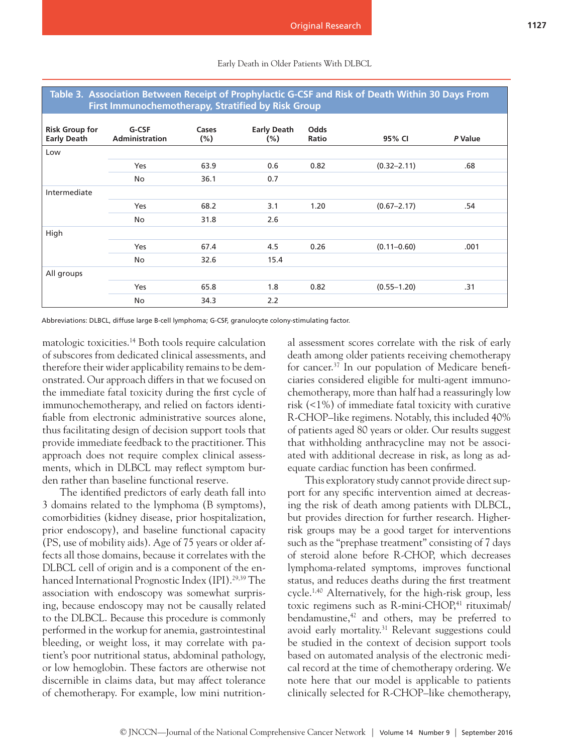| Table 3.  Association Between Receipt of Prophylactic G-CSF and Risk of Death Within 30 Days From<br>First Immunochemotherapy, Stratified by Risk Group |                                |                  |                               |                      |                 |         |  |  |
|---------------------------------------------------------------------------------------------------------------------------------------------------------|--------------------------------|------------------|-------------------------------|----------------------|-----------------|---------|--|--|
| <b>Risk Group for</b><br><b>Early Death</b>                                                                                                             | G-CSF<br><b>Administration</b> | Cases<br>$(\% )$ | <b>Early Death</b><br>$(\% )$ | <b>Odds</b><br>Ratio | 95% CI          | P Value |  |  |
| Low                                                                                                                                                     |                                |                  |                               |                      |                 |         |  |  |
|                                                                                                                                                         | Yes                            | 63.9             | 0.6                           | 0.82                 | $(0.32 - 2.11)$ | .68     |  |  |
|                                                                                                                                                         | No                             | 36.1             | 0.7                           |                      |                 |         |  |  |
| Intermediate                                                                                                                                            |                                |                  |                               |                      |                 |         |  |  |
|                                                                                                                                                         | <b>Yes</b>                     | 68.2             | 3.1                           | 1.20                 | $(0.67 - 2.17)$ | .54     |  |  |
|                                                                                                                                                         | <b>No</b>                      | 31.8             | 2.6                           |                      |                 |         |  |  |
| High                                                                                                                                                    |                                |                  |                               |                      |                 |         |  |  |
|                                                                                                                                                         | Yes                            | 67.4             | 4.5                           | 0.26                 | $(0.11 - 0.60)$ | .001    |  |  |
|                                                                                                                                                         | <b>No</b>                      | 32.6             | 15.4                          |                      |                 |         |  |  |
| All groups                                                                                                                                              |                                |                  |                               |                      |                 |         |  |  |
|                                                                                                                                                         | <b>Yes</b>                     | 65.8             | 1.8                           | 0.82                 | $(0.55 - 1.20)$ | .31     |  |  |
|                                                                                                                                                         | No                             | 34.3             | 2.2                           |                      |                 |         |  |  |

Abbreviations: DLBCL, diffuse large B-cell lymphoma; G-CSF, granulocyte colony-stimulating factor.

matologic toxicities.14 Both tools require calculation of subscores from dedicated clinical assessments, and therefore their wider applicability remains to be demonstrated. Our approach differs in that we focused on the immediate fatal toxicity during the first cycle of immunochemotherapy, and relied on factors identifiable from electronic administrative sources alone, thus facilitating design of decision support tools that provide immediate feedback to the practitioner. This approach does not require complex clinical assessments, which in DLBCL may reflect symptom burden rather than baseline functional reserve.

The identified predictors of early death fall into 3 domains related to the lymphoma (B symptoms), comorbidities (kidney disease, prior hospitalization, prior endoscopy), and baseline functional capacity (PS, use of mobility aids). Age of 75 years or older affects all those domains, because it correlates with the DLBCL cell of origin and is a component of the enhanced International Prognostic Index (IPI).29,39 The association with endoscopy was somewhat surprising, because endoscopy may not be causally related to the DLBCL. Because this procedure is commonly performed in the workup for anemia, gastrointestinal bleeding, or weight loss, it may correlate with patient's poor nutritional status, abdominal pathology, or low hemoglobin. These factors are otherwise not discernible in claims data, but may affect tolerance of chemotherapy. For example, low mini nutritional assessment scores correlate with the risk of early death among older patients receiving chemotherapy for cancer.37 In our population of Medicare beneficiaries considered eligible for multi-agent immunochemotherapy, more than half had a reassuringly low risk (<1%) of immediate fatal toxicity with curative R-CHOP–like regimens. Notably, this included 40% of patients aged 80 years or older. Our results suggest that withholding anthracycline may not be associated with additional decrease in risk, as long as adequate cardiac function has been confirmed.

This exploratory study cannot provide direct support for any specific intervention aimed at decreasing the risk of death among patients with DLBCL, but provides direction for further research. Higherrisk groups may be a good target for interventions such as the "prephase treatment" consisting of 7 days of steroid alone before R-CHOP, which decreases lymphoma-related symptoms, improves functional status, and reduces deaths during the first treatment cycle.1,40 Alternatively, for the high-risk group, less toxic regimens such as R-mini-CHOP,<sup>41</sup> rituximab/ bendamustine, $42$  and others, may be preferred to avoid early mortality.<sup>31</sup> Relevant suggestions could be studied in the context of decision support tools based on automated analysis of the electronic medical record at the time of chemotherapy ordering. We note here that our model is applicable to patients clinically selected for R-CHOP–like chemotherapy,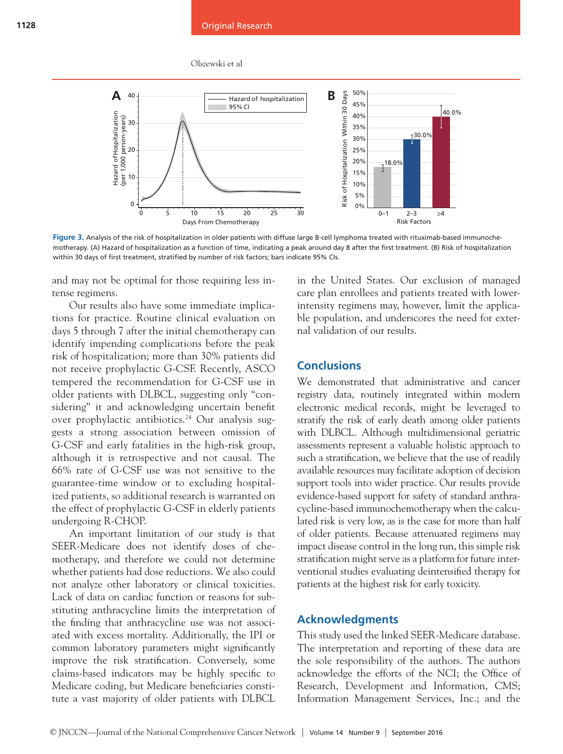Olszewski et al



Figure 3. Analysis of the risk of hospitalization in older patients with diffuse large B-cell lymphoma treated with rituximab-based immunochemotherapy. (A) Hazard of hospitalization as a function of time, indicating a peak around day 8 after the first treatment. (B) Risk of hospitalization within 30 days of first treatment, stratified by number of risk factors; bars indicate 95% CIs.

and may not be optimal for those requiring less intense regimens.

Our results also have some immediate implications for practice. Routine clinical evaluation on days 5 through 7 after the initial chemotherapy can identify impending complications before the peak risk of hospitalization; more than 30% patients did not receive prophylactic G-CSF. Recently, ASCO tempered the recommendation for G-CSF use in older patients with DLBCL, suggesting only "considering" it and acknowledging uncertain benefit over prophylactic antibiotics.24 Our analysis suggests a strong association between omission of G-CSF and early fatalities in the high-risk group, although it is retrospective and not causal. The 66% rate of G-CSF use was not sensitive to the guarantee-time window or to excluding hospitalized patients, so additional research is warranted on the effect of prophylactic G-CSF in elderly patients undergoing R-CHOP.

An important limitation of our study is that SEER-Medicare does not identify doses of chemotherapy, and therefore we could not determine whether patients had dose reductions. We also could not analyze other laboratory or clinical toxicities. Lack of data on cardiac function or reasons for substituting anthracycline limits the interpretation of the finding that anthracycline use was not associated with excess mortality. Additionally, the IPI or common laboratory parameters might significantly improve the risk stratification. Conversely, some claims-based indicators may be highly specific to Medicare coding, but Medicare beneficiaries constitute a vast majority of older patients with DLBCL in the United States. Our exclusion of managed care plan enrollees and patients treated with lowerintensity regimens may, however, limit the applicable population, and underscores the need for external validation of our results.

# **Conclusions**

We demonstrated that administrative and cancer registry data, routinely integrated within modern electronic medical records, might be leveraged to stratify the risk of early death among older patients with DLBCL. Although multidimensional geriatric assessments represent a valuable holistic approach to such a stratification, we believe that the use of readily available resources may facilitate adoption of decision support tools into wider practice. Our results provide evidence-based support for safety of standard anthracycline-based immunochemotherapy when the calculated risk is very low, as is the case for more than half of older patients. Because attenuated regimens may impact disease control in the long run, this simple risk stratification might serve as a platform for future interventional studies evaluating deintensified therapy for patients at the highest risk for early toxicity.

# **Acknowledgments**

This study used the linked SEER-Medicare database. The interpretation and reporting of these data are the sole responsibility of the authors. The authors acknowledge the efforts of the NCI; the Office of Research, Development and Information, CMS; Information Management Services, Inc.; and the